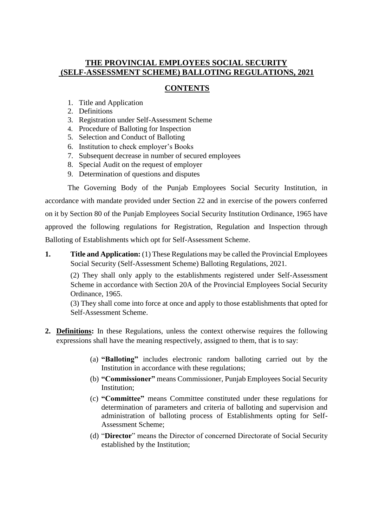## **THE PROVINCIAL EMPLOYEES SOCIAL SECURITY (SELF-ASSESSMENT SCHEME) BALLOTING REGULATIONS, 2021**

## **CONTENTS**

- 1. Title and Application
- 2. Definitions
- 3. Registration under Self-Assessment Scheme
- 4. Procedure of Balloting for Inspection
- 5. Selection and Conduct of Balloting
- 6. Institution to check employer's Books
- 7. Subsequent decrease in number of secured employees
- 8. Special Audit on the request of employer
- 9. Determination of questions and disputes

The Governing Body of the Punjab Employees Social Security Institution, in accordance with mandate provided under Section 22 and in exercise of the powers conferred on it by Section 80 of the Punjab Employees Social Security Institution Ordinance, 1965 have approved the following regulations for Registration, Regulation and Inspection through Balloting of Establishments which opt for Self-Assessment Scheme.

**1. Title and Application:** (1) These Regulations may be called the Provincial Employees Social Security (Self-Assessment Scheme) Balloting Regulations, 2021.

(2) They shall only apply to the establishments registered under Self-Assessment Scheme in accordance with Section 20A of the Provincial Employees Social Security Ordinance, 1965.

(3) They shall come into force at once and apply to those establishments that opted for Self-Assessment Scheme.

- **2. Definitions:** In these Regulations, unless the context otherwise requires the following expressions shall have the meaning respectively, assigned to them, that is to say:
	- (a) **"Balloting"** includes electronic random balloting carried out by the Institution in accordance with these regulations;
	- (b) **"Commissioner"** means Commissioner, Punjab Employees Social Security Institution;
	- (c) **"Committee"** means Committee constituted under these regulations for determination of parameters and criteria of balloting and supervision and administration of balloting process of Establishments opting for Self-Assessment Scheme;
	- (d) "**Director**" means the Director of concerned Directorate of Social Security established by the Institution;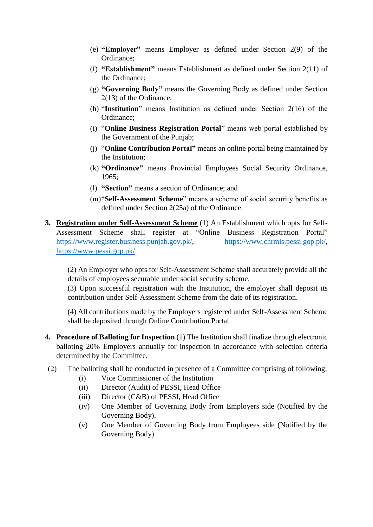- (e) **"Employer"** means Employer as defined under Section 2(9) of the Ordinance;
- (f) **"Establishment"** means Establishment as defined under Section 2(11) of the Ordinance;
- (g) **"Governing Body"** means the Governing Body as defined under Section 2(13) of the Ordinance;
- (h) "**Institution**" means Institution as defined under Section 2(16) of the Ordinance;
- (i) "**Online Business Registration Portal**" means web portal established by the Government of the Punjab;
- (j) "**Online Contribution Portal"** means an online portal being maintained by the Institution;
- (k) **"Ordinance"** means Provincial Employees Social Security Ordinance, 1965;
- (l) **"Section"** means a section of Ordinance; and
- (m)"**Self-Assessment Scheme**" means a scheme of social security benefits as defined under Section 2(25a) of the Ordinance.
- **3. Registration under Self-Assessment Scheme** (1) An Establishment which opts for Self-Assessment Scheme shall register at "Online Business Registration Portal" [https://www.register.business.punjab.gov.pk/,](https://www.register.business.punjab.gov.pk/) [https://www.chrmis.pessi.gop.pk/,](https://www.chrmis.pessi.gop.pk/) [https://www.pessi.gop.pk/.](https://www.pessi.gop.pk/)

(2) An Employer who opts for Self-Assessment Scheme shall accurately provide all the details of employees securable under social security scheme.

(3) Upon successful registration with the Institution, the employer shall deposit its contribution under Self-Assessment Scheme from the date of its registration.

(4) All contributions made by the Employers registered under Self-Assessment Scheme shall be deposited through Online Contribution Portal.

**4. Procedure of Balloting for Inspection** (1) The Institution shall finalize through electronic balloting 20% Employers annually for inspection in accordance with selection criteria determined by the Committee.

#### (2) The balloting shall be conducted in presence of a Committee comprising of following:

- (i) Vice Commissioner of the Institution
- (ii) Director (Audit) of PESSI, Head Office
- (iii) Director (C&B) of PESSI, Head Office
- (iv) One Member of Governing Body from Employers side (Notified by the Governing Body).
- (v) One Member of Governing Body from Employees side (Notified by the Governing Body).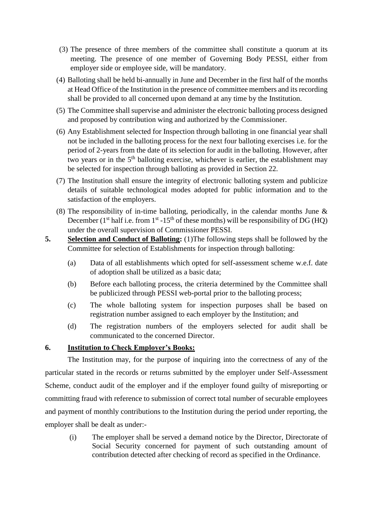- (3) The presence of three members of the committee shall constitute a quorum at its meeting. The presence of one member of Governing Body PESSI, either from employer side or employee side, will be mandatory.
- (4) Balloting shall be held bi-annually in June and December in the first half of the months at Head Office of the Institution in the presence of committee members and its recording shall be provided to all concerned upon demand at any time by the Institution.
- (5) The Committee shall supervise and administer the electronic balloting process designed and proposed by contribution wing and authorized by the Commissioner.
- (6) Any Establishment selected for Inspection through balloting in one financial year shall not be included in the balloting process for the next four balloting exercises i.e. for the period of 2-years from the date of its selection for audit in the balloting. However, after two years or in the  $5<sup>th</sup>$  balloting exercise, whichever is earlier, the establishment may be selected for inspection through balloting as provided in Section 22.
- (7) The Institution shall ensure the integrity of electronic balloting system and publicize details of suitable technological modes adopted for public information and to the satisfaction of the employers.
- (8) The responsibility of in-time balloting, periodically, in the calendar months June & December ( $1<sup>st</sup>$  half i.e. from  $1<sup>st</sup> - 15<sup>th</sup>$  of these months) will be responsibility of DG (HQ) under the overall supervision of Commissioner PESSI.
- **5. Selection and Conduct of Balloting:** (1)The following steps shall be followed by the Committee for selection of Establishments for inspection through balloting:
	- (a) Data of all establishments which opted for self-assessment scheme w.e.f. date of adoption shall be utilized as a basic data;
	- (b) Before each balloting process, the criteria determined by the Committee shall be publicized through PESSI web-portal prior to the balloting process;
	- (c) The whole balloting system for inspection purposes shall be based on registration number assigned to each employer by the Institution; and
	- (d) The registration numbers of the employers selected for audit shall be communicated to the concerned Director.

#### **6. Institution to Check Employer's Books:**

The Institution may, for the purpose of inquiring into the correctness of any of the particular stated in the records or returns submitted by the employer under Self-Assessment Scheme, conduct audit of the employer and if the employer found guilty of misreporting or committing fraud with reference to submission of correct total number of securable employees and payment of monthly contributions to the Institution during the period under reporting, the employer shall be dealt as under:-

(i) The employer shall be served a demand notice by the Director, Directorate of Social Security concerned for payment of such outstanding amount of contribution detected after checking of record as specified in the Ordinance.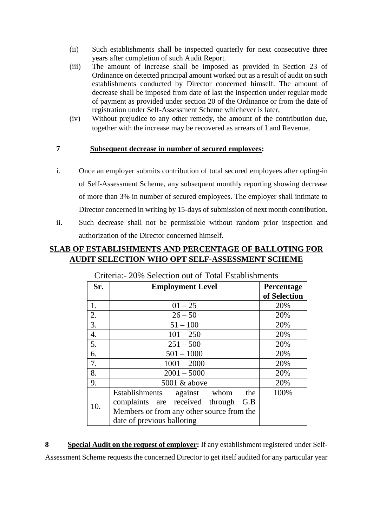- (ii) Such establishments shall be inspected quarterly for next consecutive three years after completion of such Audit Report.
- (iii) The amount of increase shall be imposed as provided in Section 23 of Ordinance on detected principal amount worked out as a result of audit on such establishments conducted by Director concerned himself. The amount of decrease shall be imposed from date of last the inspection under regular mode of payment as provided under section 20 of the Ordinance or from the date of registration under Self-Assessment Scheme whichever is later,
- (iv) Without prejudice to any other remedy, the amount of the contribution due, together with the increase may be recovered as arrears of Land Revenue.

### **7 Subsequent decrease in number of secured employees:**

- i. Once an employer submits contribution of total secured employees after opting-in of Self-Assessment Scheme, any subsequent monthly reporting showing decrease of more than 3% in number of secured employees. The employer shall intimate to Director concerned in writing by 15-days of submission of next month contribution.
- ii. Such decrease shall not be permissible without random prior inspection and authorization of the Director concerned himself.

# **SLAB OF ESTABLISHMENTS AND PERCENTAGE OF BALLOTING FOR AUDIT SELECTION WHO OPT SELF-ASSESSMENT SCHEME**

| Sr. | <b>Employment Level</b>                                                                                                         | Percentage<br>of Selection |
|-----|---------------------------------------------------------------------------------------------------------------------------------|----------------------------|
| 1.  | $01 - 25$                                                                                                                       | 20%                        |
| 2.  | $26 - 50$                                                                                                                       | 20%                        |
| 3.  | $51 - 100$                                                                                                                      | 20%                        |
| 4.  | $101 - 250$                                                                                                                     | 20%                        |
| 5.  | $251 - 500$                                                                                                                     | 20%                        |
| 6.  | $501 - 1000$                                                                                                                    | 20%                        |
| 7.  | $1001 - 2000$                                                                                                                   | 20%                        |
| 8.  | $2001 - 5000$                                                                                                                   | 20%                        |
| 9.  | 5001 & above                                                                                                                    | 20%                        |
| 10. | Establishments<br>against<br>whom<br>the<br>complaints are received through<br>G.B<br>Members or from any other source from the | 100%                       |
|     | date of previous balloting                                                                                                      |                            |

Criteria:- 20% Selection out of Total Establishments

**8 Special Audit on the request of employer:** If any establishment registered under Self-Assessment Scheme requests the concerned Director to get itself audited for any particular year